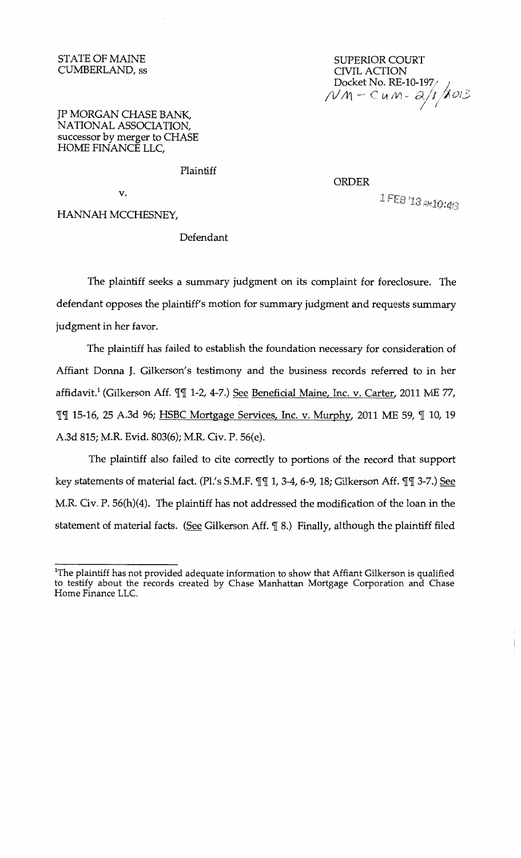## STATE OF MAINE CUMBERLAND, ss

SUPERIOR COURT CIVIL ACTION<br>Docket No. RE-10-197 Docket No. RE-10-19//<br>NM – Cu.M – 2/1 *A013* I I

## JP MORGAN CHASE BANK, NATIONAL ASSOCIATION, successor by merger to CHASE HOME FINANCE LLC,

Plaintiff

v.

## HANNAH MCCHESNEY,

## Defendant

The plaintiff seeks a summary judgment on its complaint for foreclosure. The defendant opposes the plaintiff's motion for summary judgment and requests summary judgment in her favor.

The plaintiff has failed to establish the foundation necessary for consideration of Affiant Donna J. Gilkerson's testimony and the business records referred to in her affidavit.<sup>1</sup> (Gilkerson Aff. *¶¶* 1-2, 4-7.) See Beneficial Maine, Inc. v. Carter, 2011 ME 77, *'1['1[* 15-16, 25 A.3d 96; HSBC Mortgage Services, Inc. v. Murphy, 2011 ME 59, 'if 10, 19 A.3d 815; M.R. Evid. 803(6); M.R. Civ. P. 56(e).

The plaintiff also failed to cite correctly to portions of the record that support key statements of material fact. (Pl.'s S.M.F. *'1['1[* 1, 3-4, 6-9, 18; Gilkerson Aff. *'1['1[* 3-7.) See M.R. Civ. P. 56(h)(4). The plaintiff has not addressed the modification of the loan in the statement of material facts. (See Gilkerson Aff.  $\mathcal{I}$  8.) Finally, although the plaintiff filed

ORDER

1 FEB 13 AM10:48

<sup>1</sup> The plaintiff has not provided adequate information to show that Affiant Gilkerson is qualified to testify about the records created by Chase Manhattan Mortgage Corporation and Chase Home Finance LLC.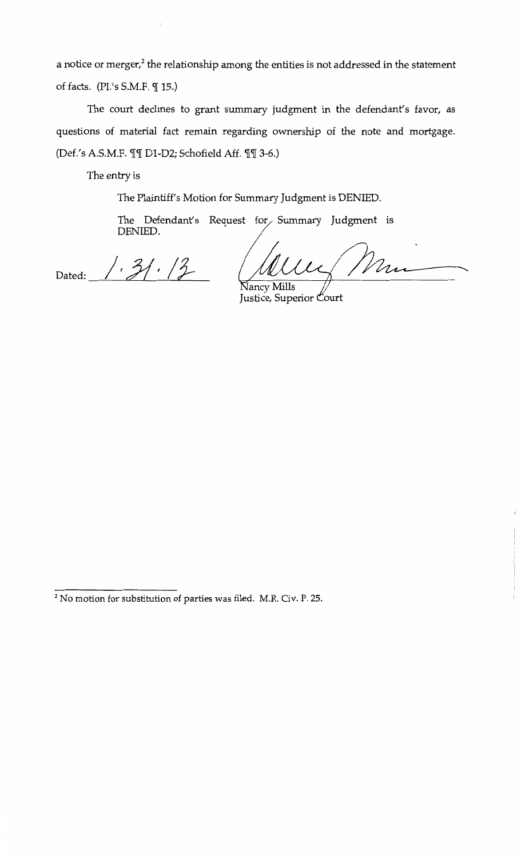a notice or merger,<sup>2</sup> the relationship among the entities is not addressed in the statement of facts. (Pl.'s  $S.M.F. \mathcal{F}$  15.)

The court declines to grant summary judgment in the defendant's favor, as questions of material fact remain regarding ownership of the note and mortgage. (Def.'s A.S.M.F.  $\P\P$ [ D1-D2; Schofield Aff.  $\P$ [ 3-6.)

The entry is

The Plaintiff's Motion for Summary Judgment is DENIED.

The Defendant's Request for Summary Judgment is DENIED.

 $31.12$ Dated:

Mm √ancv Mills

Justice, Superior Court

2 No motion for substitution of parties was filed. M.R. Civ. P. 25.